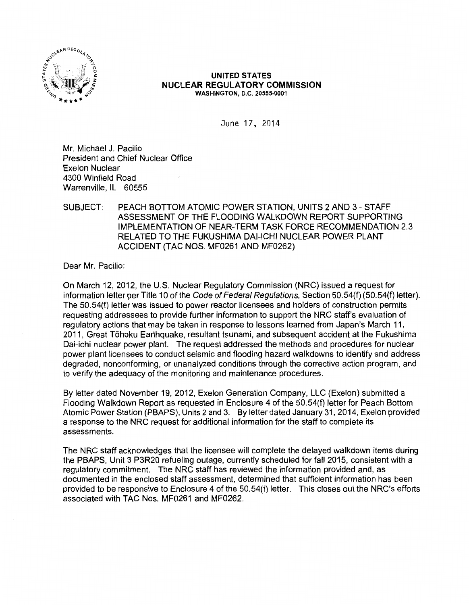

#### UNITED STATES NUCLEAR REGULATORY COMMISSION WASHINGTON, D.C. 20555-0001

June 17, 2014

Mr. Michael J. Pacilio President and Chief Nuclear Office Exelon Nuclear 4300 Winfield Road Warrenville, IL 60555

### SUBJECT: PEACH BOTTOM ATOMIC POWER STATION, UNITS 2 AND 3- STAFF ASSESSMENT OF THE FLOODING WALKDOWN REPORT SUPPORTING IMPLEMENTATION OF NEAR-TERM TASK FORCE RECOMMENDATION 2.3 RELATED TO THE FUKUSHIMA DAI-ICHI NUCLEAR POWER PLANT ACCIDENT (TAC NOS. MF0261 AND MF0262)

Dear Mr. Pacilio:

On March 12, 2012, the U.S. Nuclear Regulatory Commission (NRC) issued a request for information letter per Title 10 of the Code of Federal Regulations, Section 50.54(f) (50.54(f) letter). The 50.54(f) letter was issued to power reactor licensees and holders of construction permits requesting addressees to provide further information to support the NRC staff's evaluation of regulatory actions that may be taken in response to lessons learned from Japan's March 11, 2011, Great Tohoku Earthquake, resultant tsunami, and subsequent accident at the Fukushima Dai-ichi nuclear power plant. The request addressed the methods and procedures for nuclear power plant licensees to conduct seismic and flooding hazard walkdowns to identify and address degraded, nonconforming, or unanalyzed conditions through the corrective action program, and to verify the adequacy of the monitoring and maintenance procedures.

By letter dated November 19, 2012, Exelon Generation Company, LLC (Exelon) submitted a Flooding Walkdown Report as requested in Enclosure 4 of the 50.54(f) letter for Peach Bottom Atomic Power Station (PBAPS), Units 2 and 3. By letter dated January 31, 2014, Exelon provided a response to the NRC request for additional information for the staff to complete its assessments.

The NRC staff acknowledges that the licensee will complete the delayed walkdown items during the PBAPS, Unit 3 P3R20 refueling outage, currently scheduled for fall 2015, consistent with a regulatory commitment. The NRC staff has reviewed the information provided and, as documented in the enclosed staff assessment, determined that sufficient information has been provided to be responsive to Enclosure 4 of the 50.54(f) letter. This closes out the NRC's efforts associated with TAC Nos. MF0261 and MF0262.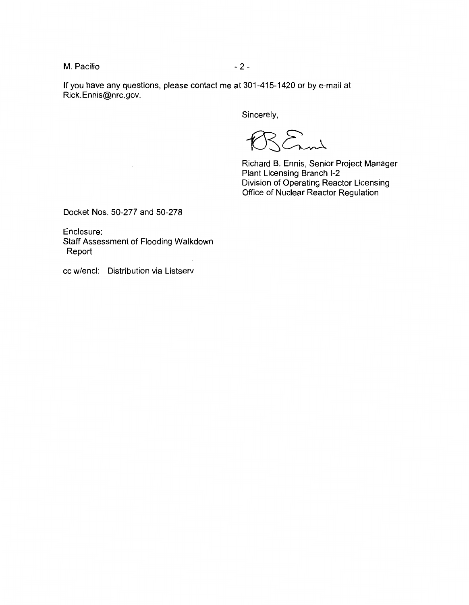M. Pacilio  $-2$  -

If you have any questions, please contact me at 301-415-1420 or by e-mail at Rick.Ennis@nrc.gov.

Sincerely,

 $\mathbb{R}$  and

Richard B. Ennis, Senior Project Manager Plant Licensing Branch 1-2 Division of Operating Reactor Licensing Office of Nuclear Reactor Regulation

Docket Nos. 50-277 and 50-278

Enclosure: Staff Assessment of Flooding Walkdown Report

cc w/encl: Distribution via Listserv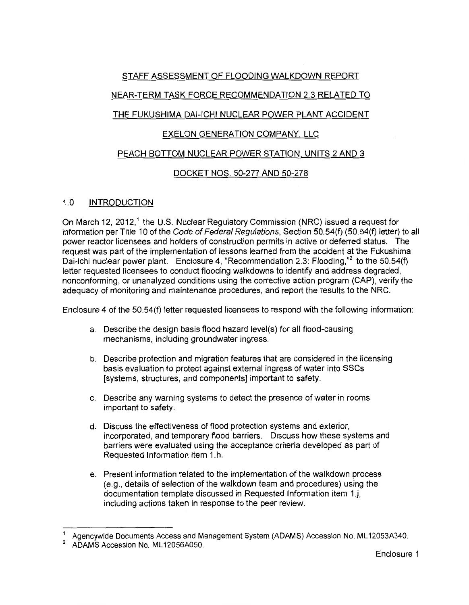## STAFF ASSESSMENT OF FLOODING WALKDOWN REPORT

# NEAR-TERM TASK FORCE RECOMMENDATION 2.3 RELATED TO

# THE FUKUSHIMA DAI-ICHI NUCLEAR POWER PLANT ACCIDENT

# EXELON GENERATION COMPANY, LLC

## PEACH BOTTOM NUCLEAR POWER STATION, UNITS 2 AND 3

# DOCKET NOS. 50-277 AND 50-278

## 1.0 INTRODUCTION

On March 12, 2012,<sup>1</sup> the U.S. Nuclear Regulatory Commission (NRC) issued a request for information per Title 10 of the Code of Federal Regulations, Section 50.54(f) (50.54(f) letter) to all power reactor licensees and holders of construction permits in active or deferred status. The request was part of the implementation of lessons learned from the accident at the Fukushima Dai-ichi nuclear power plant. Enclosure 4, "Recommendation 2.3: Flooding,"<sup>2</sup> to the 50.54(f) letter requested licensees to conduct flooding walkdowns to identify and address degraded, nonconforming, or unanalyzed conditions using the corrective action program (CAP), verify the adequacy of monitoring and maintenance procedures, and report the results to the NRC.

Enclosure 4 of the 50.54(f) letter requested licensees to respond with the following information:

- a. Describe the design basis flood hazard level(s) for all flood-causing mechanisms, including groundwater ingress.
- b. Describe protection and migration features that are considered in the licensing basis evaluation to protect against external ingress of water into SSCs [systems, structures, and components] important to safety.
- c. Describe any warning systems to detect the presence of water in rooms important to safety.
- d. Discuss the effectiveness of flood protection systems and exterior, incorporated, and temporary flood barriers. Discuss how these systems and barriers were evaluated using the acceptance criteria developed as part of Requested Information item 1.h.
- e. Present information related to the implementation of the walkdown process (e.g., details of selection of the walkdown team and procedures) using the documentation template discussed in Requested Information item 1.j, including actions taken in response to the peer review.

Agencywide Documents Access and Management System (ADAMS) Accession No. ML12053A340.

<sup>2</sup>ADAMS Accession No. ML 12056A050.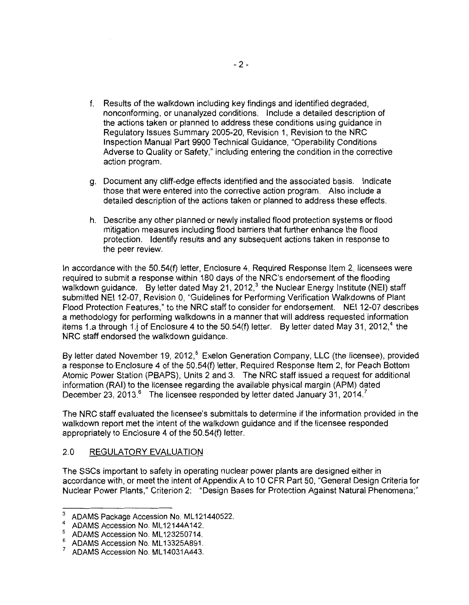- f. Results of the walkdown including key findings and identified degraded, nonconforming, or unanalyzed conditions. Include a detailed description of the actions taken or planned to address these conditions using guidance in Regulatory Issues Summary 2005-20, Revision 1, Revision to the NRC Inspection Manual Part 9900 Technical Guidance, "Operability Conditions Adverse to Quality or Safety," including entering the condition in the corrective action program.
- g. Document any cliff-edge effects identified and the associated basis. Indicate those that were entered into the corrective action program. Also include a detailed description of the actions taken or planned to address these effects.
- h. Describe any other planned or newly installed flood protection systems or flood mitigation measures including flood barriers that further enhance the flood protection. Identify results and any subsequent actions taken in response to the peer review.

In accordance with the 50.54(f) letter, Enclosure 4, Required Response Item 2, licensees were required to submit a response within 180 days of the NRC's endorsement of the flooding walkdown guidance. By letter dated May 21, 2012,<sup>3</sup> the Nuclear Energy Institute (NEI) staff submitted NEI 12-07, Revision 0, "Guidelines for Performing Verification Walkdowns of Plant Flood Protection Features," to the NRC staff to consider for endorsement. NEI 12-07 describes a methodology for performing walkdowns in a manner that will address requested information items 1.a through 1.j of Enclosure 4 to the 50.54(f) letter. By letter dated May 31, 2012,<sup>4</sup> the NRC staff endorsed the walkdown guidance.

By letter dated November 19, 2012,<sup>5</sup> Exelon Generation Company, LLC (the licensee), provided a response to Enclosure 4 of the 50.54(f) letter, Required Response Item 2, for Peach Bottom Atomic Power Station (PBAPS), Units 2 and 3. The NRC staff issued a request for additional information (RAI) to the licensee regarding the available physical margin (APM) dated December 23, 2013.<sup>6</sup> The licensee responded by letter dated January 31, 2014.<sup>7</sup>

The NRC staff evaluated the licensee's submittals to determine if the information provided in the walkdown report met the intent of the walkdown guidance and if the licensee responded appropriately to Enclosure 4 of the 50.54(f) letter.

## 2.0 REGULATORY EVALUATION

The SSCs important to safety in operating nuclear power plants are designed either in accordance with, or meet the intent of Appendix A to 10 CFR Part 50, "General Design Criteria for Nuclear Power Plants," Criterion 2: "Design Bases for Protection Against Natural Phenomena;"

<sup>&</sup>lt;sup>3</sup> ADAMS Package Accession No. ML121440522.

<sup>4</sup> ADAMS Accession No. ML12144A142.

<sup>5</sup> ADAMS Accession No. ML123250714.

<sup>&</sup>lt;sup>6</sup> ADAMS Accession No. ML13325A891.

<sup>7</sup>ADAMS Accession No. ML 14031A443.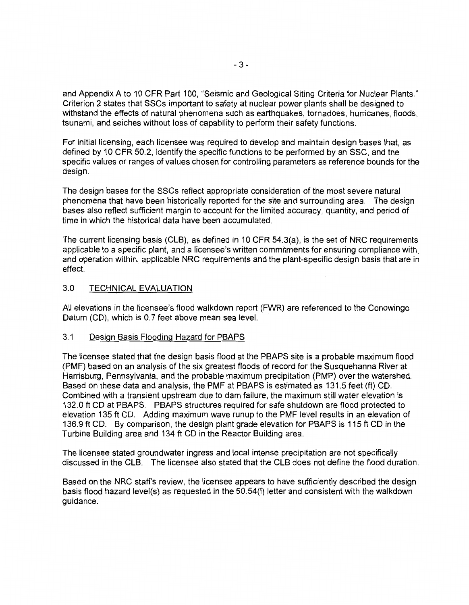and Appendix A to 10 CFR Part 100, "Seismic and Geological Siting Criteria for Nuclear Plants." Criterion 2 states that SSCs important to safety at nuclear power plants shall be designed to withstand the effects of natural phenomena such as earthquakes, tornadoes, hurricanes, floods, tsunami, and seiches without loss of capability to perform their safety functions.

For initial licensing, each licensee was required to develop and maintain design bases that, as defined by 10 CFR 50.2, identify the specific functions to be performed by an SSC, and the specific values or ranges of values chosen for controlling parameters as reference bounds for the design.

The design bases for the SSCs reflect appropriate consideration of the most severe natural phenomena that have been historically reported for the site and surrounding area. The design bases also reflect sufficient margin to account for the limited accuracy, quantity, and period of time in which the historical data have been accumulated.

The current licensing basis (CLB), as defined in 10 CFR 54.3(a), is the set of NRC requirements applicable to a specific plant, and a licensee's written commitments for ensuring compliance with, and operation within, applicable NRC requirements and the plant-specific design basis that are in effect.

## 3.0 TECHNICAL EVALUATION

All elevations in the licensee's flood walkdown report (FWR) are referenced to the Conowingo Datum (CD), which is 0.7 feet above mean sea level.

#### 3.1 Design Basis Flooding Hazard for PBAPS

The licensee stated that the design basis flood at the PBAPS site is a probable maximum flood (PMF) based on an analysis of the six greatest floods of record for the Susquehanna River at Harrisburg, Pennsylvania, and the probable maximum precipitation (PMP) over the watershed. Based on these data and analysis, the PMF at PBAPS is estimated as 131.5 feet (ft) CD. Combined with a transient upstream due to dam failure, the maximum still water elevation is 132.0 ft CD at PBAPS. PBAPS structures required for safe shutdown are flood protected to elevation 135ft CD. Adding maximum wave runup to the PMF level results in an elevation of 136.9 ft CD. By comparison, the design plant grade elevation for PBAPS is 115ft CD in the Turbine Building area and 134 ft CD in the Reactor Building area.

The licensee stated groundwater ingress and local intense precipitation are not specifically discussed in the CLB. The licensee also stated that the CLB does not define the flood duration.

Based on the NRC staff's review, the licensee appears to have sufficiently described the design basis flood hazard level(s) as requested in the 50.54(f) letter and consistent with the walkdown guidance.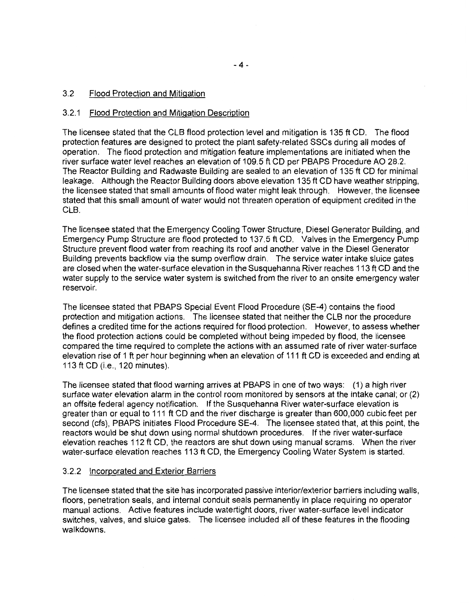#### 3.2 Flood Protection and Mitigation

#### 3.2.1 Flood Protection and Mitigation Description

The licensee stated that the CLB flood protection level and mitigation is 135ft CD. The flood protection features are designed to protect the plant safety-related SSCs during all modes of operation. The flood protection and mitigation feature implementations are initiated when the river surface water level reaches an elevation of 109.5 ft CD per PBAPS Procedure AO 28.2. The Reactor Building and Radwaste Building are sealed to an elevation of 135 ft CD for minimal leakage. Although the Reactor Building doors above elevation 135 ft CD have weather stripping, the licensee stated that small amounts of flood water might leak through. However, the licensee stated that this small amount of water would not threaten operation of equipment credited in the CLB.

The licensee stated that the Emergency Cooling Tower Structure, Diesel Generator Building, and Emergency Pump Structure are flood protected to 137.5 ft CD. Valves in the Emergency Pump Structure prevent flood water from reaching its roof and another valve in the Diesel Generator Building prevents backflow via the sump overflow drain. The service water intake sluice gates are closed when the water-surface elevation in the Susquehanna River reaches 113ft CD and the water supply to the service water system is switched from the river to an onsite emergency water reservoir.

The licensee stated that PBAPS Special Event Flood Procedure (SE-4) contains the flood protection and mitigation actions. The licensee stated that neither the CLB nor the procedure defines a credited time for the actions required for flood protection. However, to assess whether the flood protection actions could be completed without being impeded by flood, the licensee compared the time required to complete the actions with an assumed rate of river water-surface elevation rise of 1 ft per hour beginning when an elevation of 111 ft CD is exceeded and ending at 113ft CD (i.e., 120 minutes).

The licensee stated that flood warning arrives at PBAPS in one of two ways: (1) a high river surface water elevation alarm in the control room monitored by sensors at the intake canal; or (2) an offsite federal agency notification. If the Susquehanna River water-surface elevation is greater than or equal to 111 ft CD and the river discharge is greater than 600,000 cubic feet per second (cfs), PBAPS initiates Flood Procedure SE-4. The licensee stated that, at this point, the reactors would be shut down using normal shutdown procedures. If the river water-surface elevation reaches 112ft CD, the reactors are shut down using manual scrams. When the river water-surface elevation reaches 113ft CD, the Emergency Cooling Water System is started.

#### 3.2.2 Incorporated and Exterior Barriers

The licensee stated that the site has incorporated passive interior/exterior barriers including walls, floors, penetration seals, and internal conduit seals permanently in place requiring no operator manual actions. Active features include watertight doors, river water-surface level indicator switches, valves, and sluice gates. The licensee included all of these features in the flooding walkdowns.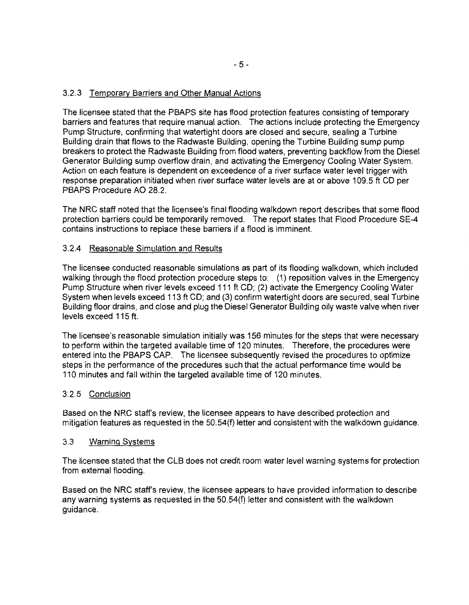## 3.2.3 Temporary Barriers and Other Manual Actions

The licensee stated that the PBAPS site has flood protection features consisting of temporary barriers and features that require manual action. The actions include protecting the Emergency Pump Structure, confirming that watertight doors are closed and secure, sealing a Turbine Building drain that flows to the Radwaste Building, opening the Turbine Building sump pump breakers to protect the Radwaste Building from flood waters, preventing backflow from the Diesel Generator Building sump overflow drain, and activating the Emergency Cooling Water System. Action on each feature is dependent on exceedence of a river surface water level trigger with response preparation initiated when river surface water levels are at or above 109.5 ft CD per PBAPS Procedure AO 28.2.

The NRC staff noted that the licensee's final flooding walkdown report describes that some flood protection barriers could be temporarily removed. The report states that Flood Procedure SE-4 contains instructions to replace these barriers if a flood is imminent.

## 3.2.4 Reasonable Simulation and Results

The licensee conducted reasonable simulations as part of its flooding walkdown, which included walking through the flood protection procedure steps to: (1) reposition valves in the Emergency Pump Structure when river levels exceed 111 ft CD; (2) activate the Emergency Cooling Water System when levels exceed 113 ft CD; and (3) confirm watertight doors are secured, seal Turbine Building floor drains, and close and plug the Diesel Generator Building oily waste valve when river levels exceed 115 ft.

The licensee's reasonable simulation initially was 156 minutes for the steps that were necessary to perform within the targeted available time of 120 minutes. Therefore, the procedures were entered into the PBAPS CAP. The licensee subsequently revised the procedures to optimize steps in the performance of the procedures such that the actual performance time would be 110 minutes and fall within the targeted available time of 120 minutes.

## 3.2.5 Conclusion

Based on the NRC staff's review, the licensee appears to have described protection and mitigation features as requested in the 50.54(f) letter and consistent with the walkdown guidance.

## 3.3 Warning Systems

The licensee stated that the CLB does not credit room water level warning systems for protection from external flooding.

Based on the NRC staff's review, the licensee appears to have provided information to describe any warning systems as requested in the 50.54(f) letter and consistent with the walkdown guidance.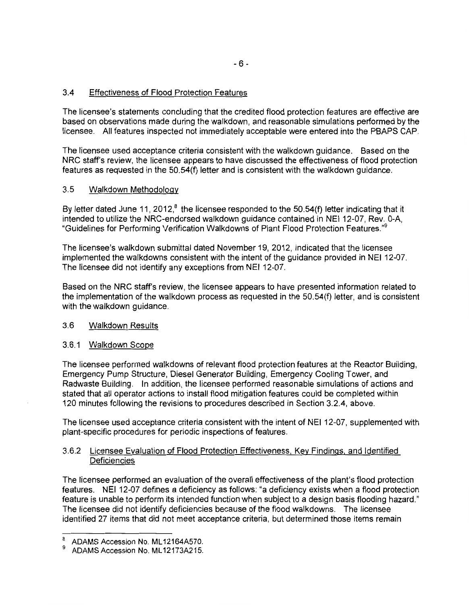## 3.4 Effectiveness of Flood Protection Features

The licensee's statements concluding that the credited flood protection features are effective are based on observations made during the walkdown, and reasonable simulations performed by the licensee. All features inspected not immediately acceptable were entered into the PBAPS CAP.

The licensee used acceptance criteria consistent with the walkdown guidance. Based on the NRC staff's review, the licensee appears to have discussed the effectiveness of flood protection features as requested in the 50.54(f) letter and is consistent with the walkdown guidance.

### 3.5 Walkdown Methodology

By letter dated June 11, 2012, $^8$  the licensee responded to the 50.54(f) letter indicating that it intended to utilize the NRC-endorsed walkdown guidance contained in NEI 12-07, Rev. 0-A, "Guidelines for Performing Verification Walkdowns of Plant Flood Protection Features."<sup>9</sup>

The licensee's walkdown submittal dated November 19, 2012, indicated that the licensee implemented the walkdowns consistent with the intent of the guidance provided in NEI 12-07. The licensee did not identify any exceptions from NEI 12-07.

Based on the NRC staff's review, the licensee appears to have presented information related to the implementation of the walkdown process as requested in the 50.54(f) letter, and is consistent with the walkdown guidance.

#### 3.6 Walkdown Results

#### 3.6.1 Walkdown Scope

The licensee performed walkdowns of relevant flood protection features at the Reactor Building, Emergency Pump Structure, Diesel Generator Building, Emergency Cooling Tower, and Radwaste Building. In addition, the licensee performed reasonable simulations of actions and stated that all operator actions to install flood mitigation features could be completed within 120 minutes following the revisions to procedures described in Section 3.2.4, above.

The licensee used acceptance criteria consistent with the intent of NEI 12-07, supplemented with plant-specific procedures for periodic inspections of features.

#### 3.6.2 Licensee Evaluation of Flood Protection Effectiveness, Key Findings, and Identified **Deficiencies**

The licensee performed an evaluation of the overall effectiveness of the plant's flood protection features. NEI 12-07 defines a deficiency as follows: "a deficiency exists when a flood protection feature is unable to perform its intended function when subject to a design basis flooding hazard." The licensee did not identify deficiencies because of the flood walkdowns. The licensee identified 27 items that did not meet acceptance criteria, but determined those items remain

 $\frac{8}{9}$  ADAMS Accession No. ML12164A570.

<sup>9</sup> ADAMS Accession No. ML 12173A215.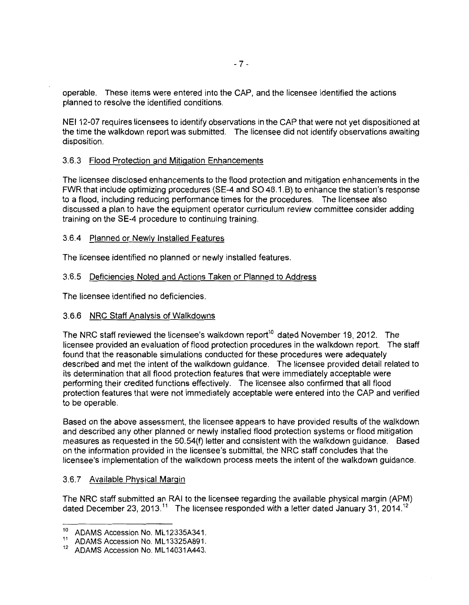operable. These items were entered into the CAP, and the licensee identified the actions planned to resolve the identified conditions.

NEI 12-07 requires licensees to identify observations in the CAP that were not yet dispositioned at the time the walkdown report was submitted. The licensee did not identify observations awaiting disposition.

## 3.6.3 Flood Protection and Mitigation Enhancements

The licensee disclosed enhancements to the flood protection and mitigation enhancements in the FWR that include optimizing procedures (SE-4 and SO 48.1.B) to enhance the station's response to a flood, including reducing performance times for the procedures. The licensee also discussed a plan to have the equipment operator curriculum review committee consider adding training on the SE-4 procedure to continuing training.

#### 3.6.4 Planned or Newly Installed Features

The licensee identified no planned or newly installed features.

#### 3.6.5 Deficiencies Noted and Actions Taken or Planned to Address

The licensee identified no deficiencies.

#### 3.6.6 NRC Staff Analysis of Walkdowns

The NRC staff reviewed the licensee's walkdown report<sup>10</sup> dated November 19, 2012. The licensee provided an evaluation of flood protection procedures in the walkdown report. The staff found that the reasonable simulations conducted for these procedures were adequately described and met the intent of the walkdown guidance. The licensee provided detail related to its determination that all flood protection features that were immediately acceptable were performing their credited functions effectively. The licensee also confirmed that all flood protection features that were not immediately acceptable were entered into the CAP and verified to be operable.

Based on the above assessment, the licensee appears to have provided results of the walkdown and described any other planned or newly installed flood protection systems or flood mitigation measures as requested in the 50.54(f) letter and consistent with the walkdown guidance. Based on the information provided in the licensee's submittal, the NRC staff concludes that the licensee's implementation of the walkdown process meets the intent of the walkdown guidance.

#### 3.6.7 Available Physical Margin

The NRC staff submitted an RAI to the licensee regarding the available physical margin (APM) dated December 23, 2013.<sup>11</sup> The licensee responded with a letter dated January 31, 2014.<sup>12</sup>

<sup>&</sup>lt;sup>10</sup> ADAMS Accession No. ML12335A341.

<sup>&</sup>lt;sup>11</sup> ADAMS Accession No. ML13325A891.<br><sup>12</sup> ADAMS Accession No. ML14031A443

ADAMS Accession No. ML14031A443.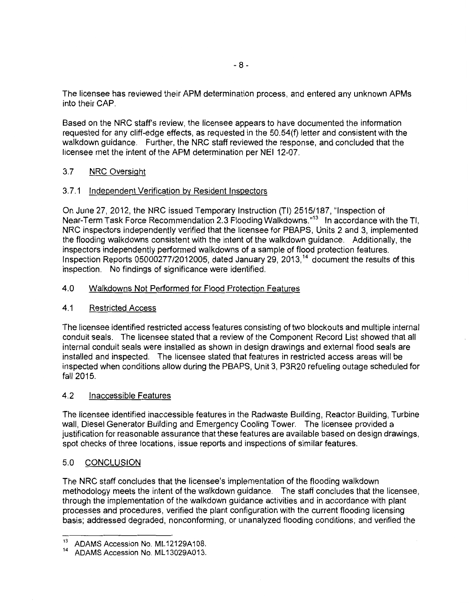The licensee has reviewed their APM determination process, and entered any unknown APMs into their CAP.

Based on the NRC staff's review, the licensee appears to have documented the information requested for any cliff-edge effects, as requested in the 50.54(f) letter and consistent with the walkdown guidance. Further, the NRC staff reviewed the response, and concluded that the licensee met the intent of the APM determination per NEI 12-07.

## 3.7 NRC Oversight

## 3.7.1 Independent Verification by Resident Inspectors

On June 27, 2012, the NRC issued Temporary Instruction (TI) 2515/187, "Inspection of Near-Term Task Force Recommendation 2.3 Flooding Walkdowns."<sup>13</sup> In accordance with the Tl, NRC inspectors independently verified that the licensee for PBAPS, Units 2 and 3, implemented the flooding walkdowns consistent with the intent of the walkdown guidance. Additionally, the inspectors independently performed walkdowns of a sample of flood protection features. Inspection Reports  $05000277/2012005$ , dated January 29, 2013,<sup>14</sup> document the results of this inspection. No findings of significance were identified.

## 4.0 Walkdowns Not Performed for Flood Protection Features

#### 4.1 Restricted Access

The licensee identified restricted access features consisting of two blockouts and multiple internal conduit seals. The licensee stated that a review of the Component Record List showed that all internal conduit seals were installed as shown in design drawings and external flood seals are installed and inspected. The licensee stated that features in restricted access areas will be inspected when conditions allow during the PBAPS, Unit 3, P3R20 refueling outage scheduled for fall 2015.

### 4.2 Inaccessible Features

The licensee identified inaccessible features in the Radwaste Building, Reactor.Building, Turbine wall, Diesel Generator Building and Emergency Cooling Tower. The licensee provided a justification for reasonable assurance that these features are available based on design drawings, spot checks of three locations, issue reports and inspections of similar features.

## 5.0 CONCLUSION

The NRC staff concludes that the licensee's implementation of the flooding walkdown methodology meets the intent of the walkdown guidance. The staff concludes that the licensee, through the implementation of the walkdown guidance activities and in accordance with plant processes and procedures, verified the plant configuration with the current flooding licensing basis; addressed degraded, nonconforming, or unanalyzed flooding conditions; and verified the

<sup>&</sup>lt;sup>13</sup> ADAMS Accession No. ML12129A108.

ADAMS Accession No. ML13029A013.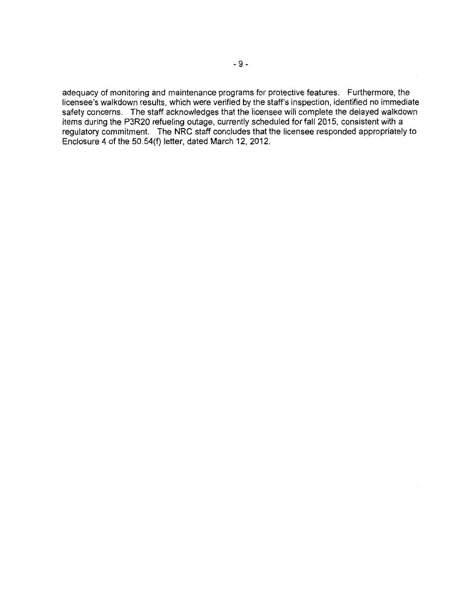adequacy of monitoring and maintenance programs for protective features. Furthermore, the licensee's walkdown results, which were verified by the staff's inspection, identified no immediate safety concerns. The staff acknowledges that the licensee will complete the delayed walkdown items during the P3R20 refueling outage, currently scheduled for fall 2015, consistent with a regulatory commitment. The NRC staff concludes that the licensee responded appropriately to Enclosure 4 of the 50.54(f) letter, dated March 12, 2012.